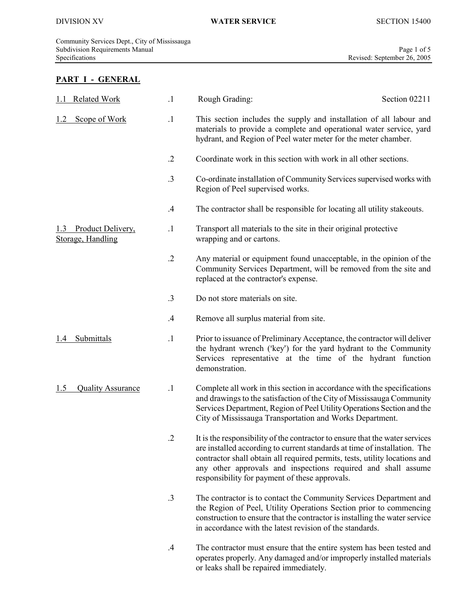$\overline{\phantom{a}}$ 

# PART I - GENERAL

| <b>Related Work</b>                    | $\cdot$ 1  | Rough Grading:                                                                                                                                                                                                                                                                                                                                             | Section 02211 |
|----------------------------------------|------------|------------------------------------------------------------------------------------------------------------------------------------------------------------------------------------------------------------------------------------------------------------------------------------------------------------------------------------------------------------|---------------|
| Scope of Work<br>1.2                   | $\cdot$ 1  | This section includes the supply and installation of all labour and<br>materials to provide a complete and operational water service, yard<br>hydrant, and Region of Peel water meter for the meter chamber.                                                                                                                                               |               |
|                                        | $\cdot$ .2 | Coordinate work in this section with work in all other sections.                                                                                                                                                                                                                                                                                           |               |
|                                        | .3         | Co-ordinate installation of Community Services supervised works with<br>Region of Peel supervised works.                                                                                                                                                                                                                                                   |               |
|                                        | .4         | The contractor shall be responsible for locating all utility stakeouts.                                                                                                                                                                                                                                                                                    |               |
| Product Delivery,<br>Storage, Handling | $\cdot$ 1  | Transport all materials to the site in their original protective<br>wrapping and or cartons.                                                                                                                                                                                                                                                               |               |
|                                        | $\cdot$ .2 | Any material or equipment found unacceptable, in the opinion of the<br>Community Services Department, will be removed from the site and<br>replaced at the contractor's expense.                                                                                                                                                                           |               |
|                                        | .3         | Do not store materials on site.                                                                                                                                                                                                                                                                                                                            |               |
|                                        | .4         | Remove all surplus material from site.                                                                                                                                                                                                                                                                                                                     |               |
| Submittals<br>$\cdot$                  | $\cdot$ 1  | Prior to issuance of Preliminary Acceptance, the contractor will deliver<br>the hydrant wrench ('key') for the yard hydrant to the Community<br>Services representative at the time of the hydrant function<br>demonstration.                                                                                                                              |               |
| <b>Quality Assurance</b><br>1.5        | $\cdot$ 1  | Complete all work in this section in accordance with the specifications<br>and drawings to the satisfaction of the City of Mississauga Community<br>Services Department, Region of Peel Utility Operations Section and the<br>City of Mississauga Transportation and Works Department.                                                                     |               |
|                                        |            | It is the responsibility of the contractor to ensure that the water services<br>are installed according to current standards at time of installation. The<br>contractor shall obtain all required permits, tests, utility locations and<br>any other approvals and inspections required and shall assume<br>responsibility for payment of these approvals. |               |
|                                        | $\cdot$ 3  | The contractor is to contact the Community Services Department and<br>the Region of Peel, Utility Operations Section prior to commencing<br>construction to ensure that the contractor is installing the water service<br>in accordance with the latest revision of the standards.                                                                         |               |
|                                        | $.4\,$     | The contractor must ensure that the entire system has been tested and<br>operates properly. Any damaged and/or improperly installed materials<br>or leaks shall be repaired immediately.                                                                                                                                                                   |               |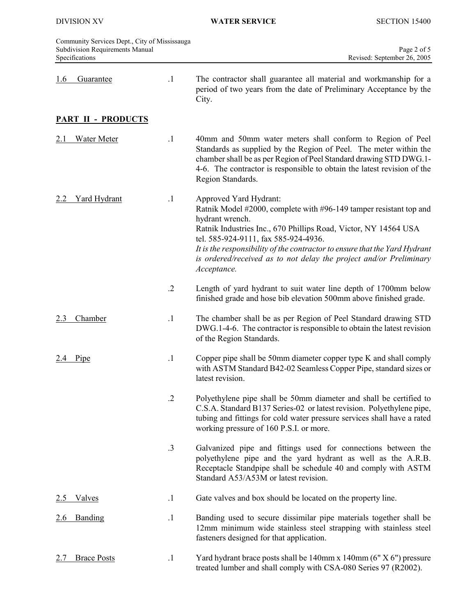|            | Community Services Dept., City of Mississauga<br>Subdivision Requirements Manual<br>Specifications |                                                                                                                                                                                                                                                                   | Page 2 of 5<br>Revised: September 26, 2005                                                                                                                                                                                                                                                                                                                                                    |
|------------|----------------------------------------------------------------------------------------------------|-------------------------------------------------------------------------------------------------------------------------------------------------------------------------------------------------------------------------------------------------------------------|-----------------------------------------------------------------------------------------------------------------------------------------------------------------------------------------------------------------------------------------------------------------------------------------------------------------------------------------------------------------------------------------------|
| <u>1.6</u> | <b>Guarantee</b>                                                                                   | $\cdot$ 1                                                                                                                                                                                                                                                         | The contractor shall guarantee all material and workmanship for a<br>period of two years from the date of Preliminary Acceptance by the<br>City.                                                                                                                                                                                                                                              |
|            | <b>PART II - PRODUCTS</b>                                                                          |                                                                                                                                                                                                                                                                   |                                                                                                                                                                                                                                                                                                                                                                                               |
|            | <b>Water Meter</b>                                                                                 | $\cdot$ 1                                                                                                                                                                                                                                                         | 40mm and 50mm water meters shall conform to Region of Peel<br>Standards as supplied by the Region of Peel. The meter within the<br>chamber shall be as per Region of Peel Standard drawing STD DWG.1-<br>4-6. The contractor is responsible to obtain the latest revision of the<br>Region Standards.                                                                                         |
|            | <b>Yard Hydrant</b>                                                                                | $\cdot$ 1                                                                                                                                                                                                                                                         | Approved Yard Hydrant:<br>Ratnik Model #2000, complete with #96-149 tamper resistant top and<br>hydrant wrench.<br>Ratnik Industries Inc., 670 Phillips Road, Victor, NY 14564 USA<br>tel. 585-924-9111, fax 585-924-4936.<br>It is the responsibility of the contractor to ensure that the Yard Hydrant<br>is ordered/received as to not delay the project and/or Preliminary<br>Acceptance. |
|            | $\cdot$ .2                                                                                         | Length of yard hydrant to suit water line depth of 1700mm below<br>finished grade and hose bib elevation 500mm above finished grade.                                                                                                                              |                                                                                                                                                                                                                                                                                                                                                                                               |
| 2.3        | Chamber                                                                                            | $\cdot$ 1                                                                                                                                                                                                                                                         | The chamber shall be as per Region of Peel Standard drawing STD<br>DWG.1-4-6. The contractor is responsible to obtain the latest revision<br>of the Region Standards.                                                                                                                                                                                                                         |
| Pipe       | $\cdot$ 1                                                                                          | Copper pipe shall be 50mm diameter copper type K and shall comply<br>with ASTM Standard B42-02 Seamless Copper Pipe, standard sizes or<br>latest revision.                                                                                                        |                                                                                                                                                                                                                                                                                                                                                                                               |
|            | $\cdot$ .2                                                                                         | Polyethylene pipe shall be 50mm diameter and shall be certified to<br>C.S.A. Standard B137 Series-02 or latest revision. Polyethylene pipe,<br>tubing and fittings for cold water pressure services shall have a rated<br>working pressure of 160 P.S.I. or more. |                                                                                                                                                                                                                                                                                                                                                                                               |
|            |                                                                                                    | $\cdot$ 3                                                                                                                                                                                                                                                         | Galvanized pipe and fittings used for connections between the<br>polyethylene pipe and the yard hydrant as well as the A.R.B.<br>Receptacle Standpipe shall be schedule 40 and comply with ASTM<br>Standard A53/A53M or latest revision.                                                                                                                                                      |
|            | <u>Valves</u>                                                                                      | $\cdot$ 1                                                                                                                                                                                                                                                         | Gate valves and box should be located on the property line.                                                                                                                                                                                                                                                                                                                                   |
| <u>2.6</u> | Banding                                                                                            | $\cdot$ 1                                                                                                                                                                                                                                                         | Banding used to secure dissimilar pipe materials together shall be<br>12mm minimum wide stainless steel strapping with stainless steel<br>fasteners designed for that application.                                                                                                                                                                                                            |
| 2.7        | <b>Brace Posts</b>                                                                                 | $\cdot$ 1                                                                                                                                                                                                                                                         | Yard hydrant brace posts shall be 140mm x 140mm (6" X 6") pressure<br>treated lumber and shall comply with CSA-080 Series 97 (R2002).                                                                                                                                                                                                                                                         |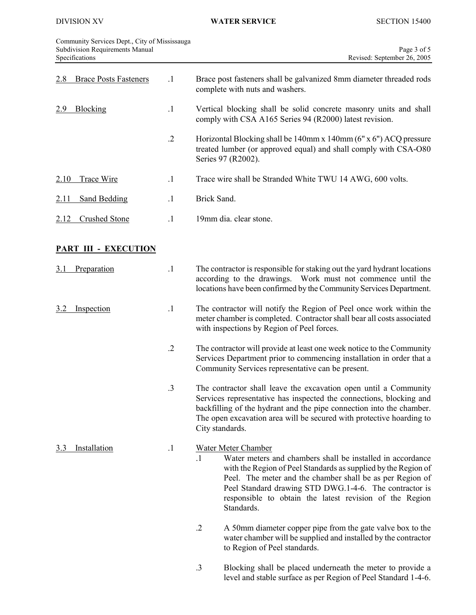Community Services Dept., City of Mississauga Subdivision Requirements Manual Page 3 of 5 Specifications Revised: September 26, 2005

| <b>Brace Posts Fasteners</b><br>2.8 | $\cdot$ 1  | Brace post fasteners shall be galvanized 8mm diameter threaded rods<br>complete with nuts and washers.                                                                                                                                                                                                                                                                  |  |
|-------------------------------------|------------|-------------------------------------------------------------------------------------------------------------------------------------------------------------------------------------------------------------------------------------------------------------------------------------------------------------------------------------------------------------------------|--|
| 2.9<br><b>Blocking</b>              | $\cdot$ 1  | Vertical blocking shall be solid concrete masonry units and shall<br>comply with CSA A165 Series 94 (R2000) latest revision.                                                                                                                                                                                                                                            |  |
|                                     | $\cdot$    | Horizontal Blocking shall be 140mm x 140mm (6" x 6") ACQ pressure<br>treated lumber (or approved equal) and shall comply with CSA-O80<br>Series 97 (R2002).                                                                                                                                                                                                             |  |
| 2.10<br><b>Trace Wire</b>           | $\cdot$ 1  | Trace wire shall be Stranded White TWU 14 AWG, 600 volts.                                                                                                                                                                                                                                                                                                               |  |
| <b>Sand Bedding</b><br><u>2.11</u>  | $\cdot$ 1  | Brick Sand.                                                                                                                                                                                                                                                                                                                                                             |  |
| <b>Crushed Stone</b><br>2.12        | $\cdot$ 1  | 19mm dia. clear stone.                                                                                                                                                                                                                                                                                                                                                  |  |
| <b>PART III - EXECUTION</b>         |            |                                                                                                                                                                                                                                                                                                                                                                         |  |
| Preparation<br><u>3.1</u>           | $\cdot$ 1  | The contractor is responsible for staking out the yard hydrant locations<br>according to the drawings. Work must not commence until the<br>locations have been confirmed by the Community Services Department.                                                                                                                                                          |  |
| Inspection<br>3.2                   | $\cdot$ 1  | The contractor will notify the Region of Peel once work within the<br>meter chamber is completed. Contractor shall bear all costs associated<br>with inspections by Region of Peel forces.                                                                                                                                                                              |  |
|                                     | $\cdot$ .2 | The contractor will provide at least one week notice to the Community<br>Services Department prior to commencing installation in order that a<br>Community Services representative can be present.                                                                                                                                                                      |  |
|                                     | .3         | The contractor shall leave the excavation open until a Community<br>Services representative has inspected the connections, blocking and<br>backfilling of the hydrant and the pipe connection into the chamber.<br>The open excavation area will be secured with protective hoarding to<br>City standards.                                                              |  |
| <b>Installation</b><br>3.3          | $\cdot$ 1  | <b>Water Meter Chamber</b><br>$\cdot$ 1<br>Water meters and chambers shall be installed in accordance<br>with the Region of Peel Standards as supplied by the Region of<br>Peel. The meter and the chamber shall be as per Region of<br>Peel Standard drawing STD DWG.1-4-6. The contractor is<br>responsible to obtain the latest revision of the Region<br>Standards. |  |
|                                     |            | $\cdot$ .2<br>A 50mm diameter copper pipe from the gate valve box to the<br>water chamber will be supplied and installed by the contractor<br>to Region of Peel standards.                                                                                                                                                                                              |  |
|                                     |            | Blocking shall be placed underneath the meter to provide a<br>$\cdot$ 3                                                                                                                                                                                                                                                                                                 |  |

level and stable surface as per Region of Peel Standard 1-4-6.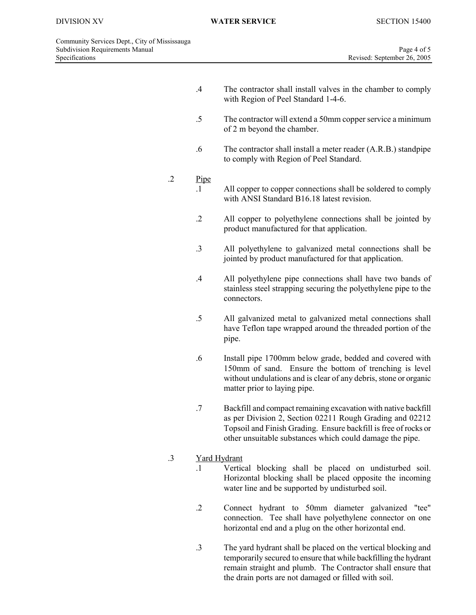$\overline{\phantom{a}}$ 

- .4 The contractor shall install valves in the chamber to comply with Region of Peel Standard 1-4-6.
- .5 The contractor will extend a 50mm copper service a minimum of 2 m beyond the chamber.
- .6 The contractor shall install a meter reader (A.R.B.) standpipe to comply with Region of Peel Standard.

### .2 Pipe

- .1 All copper to copper connections shall be soldered to comply with ANSI Standard B16.18 latest revision.
- .2 All copper to polyethylene connections shall be jointed by product manufactured for that application.
- .3 All polyethylene to galvanized metal connections shall be jointed by product manufactured for that application.
- .4 All polyethylene pipe connections shall have two bands of stainless steel strapping securing the polyethylene pipe to the connectors.
- .5 All galvanized metal to galvanized metal connections shall have Teflon tape wrapped around the threaded portion of the pipe.
- .6 Install pipe 1700mm below grade, bedded and covered with 150mm of sand. Ensure the bottom of trenching is level without undulations and is clear of any debris, stone or organic matter prior to laying pipe.
- .7 Backfill and compact remaining excavation with native backfill as per Division 2, Section 02211 Rough Grading and 02212 Topsoil and Finish Grading. Ensure backfill is free of rocks or other unsuitable substances which could damage the pipe.

## .3 Yard Hydrant

- .1 Vertical blocking shall be placed on undisturbed soil. Horizontal blocking shall be placed opposite the incoming water line and be supported by undisturbed soil.
- .2 Connect hydrant to 50mm diameter galvanized "tee" connection. Tee shall have polyethylene connector on one horizontal end and a plug on the other horizontal end.
- .3 The yard hydrant shall be placed on the vertical blocking and temporarily secured to ensure that while backfilling the hydrant remain straight and plumb. The Contractor shall ensure that the drain ports are not damaged or filled with soil.